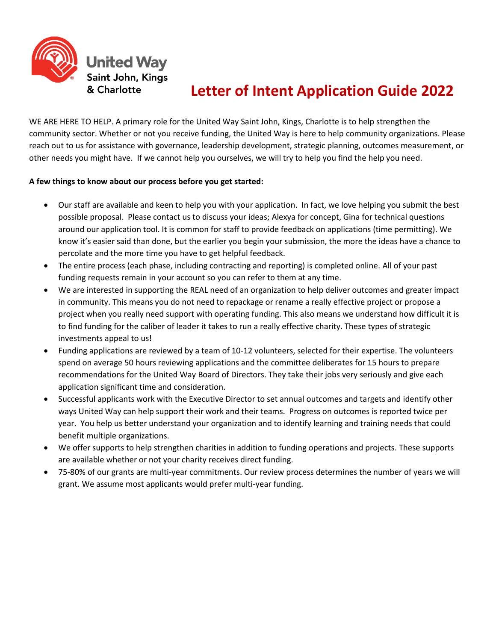

# **Letter of Intent Application Guide 2022**

WE ARE HERE TO HELP. A primary role for the United Way Saint John, Kings, Charlotte is to help strengthen the community sector. Whether or not you receive funding, the United Way is here to help community organizations. Please reach out to us for assistance with governance, leadership development, strategic planning, outcomes measurement, or other needs you might have. If we cannot help you ourselves, we will try to help you find the help you need.

### **A few things to know about our process before you get started:**

- Our staff are available and keen to help you with your application. In fact, we love helping you submit the best possible proposal. Please contact us to discuss your ideas; Alexya for concept, Gina for technical questions around our application tool. It is common for staff to provide feedback on applications (time permitting). We know it's easier said than done, but the earlier you begin your submission, the more the ideas have a chance to percolate and the more time you have to get helpful feedback.
- The entire process (each phase, including contracting and reporting) is completed online. All of your past funding requests remain in your account so you can refer to them at any time.
- We are interested in supporting the REAL need of an organization to help deliver outcomes and greater impact in community. This means you do not need to repackage or rename a really effective project or propose a project when you really need support with operating funding. This also means we understand how difficult it is to find funding for the caliber of leader it takes to run a really effective charity. These types of strategic investments appeal to us!
- Funding applications are reviewed by a team of 10-12 volunteers, selected for their expertise. The volunteers spend on average 50 hours reviewing applications and the committee deliberates for 15 hours to prepare recommendations for the United Way Board of Directors. They take their jobs very seriously and give each application significant time and consideration.
- Successful applicants work with the Executive Director to set annual outcomes and targets and identify other ways United Way can help support their work and their teams. Progress on outcomes is reported twice per year. You help us better understand your organization and to identify learning and training needs that could benefit multiple organizations.
- We offer supports to help strengthen charities in addition to funding operations and projects. These supports are available whether or not your charity receives direct funding.
- 75-80% of our grants are multi-year commitments. Our review process determines the number of years we will grant. We assume most applicants would prefer multi-year funding.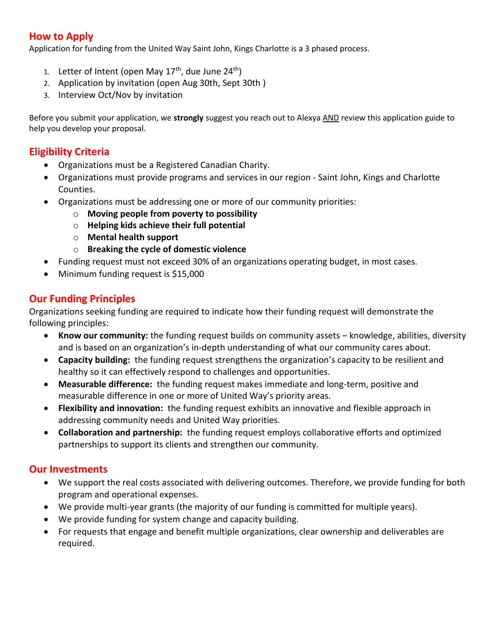## **How to Apply**

Application for funding from the United Way Saint John, Kings Charlotte is a 3 phased process.

- 1. Letter of Intent (open May 17<sup>th</sup>, due June 24<sup>th</sup>)
- 2. Application by invitation (open Aug 30th, Sept 30th )
- 3. Interview Oct/Nov by invitation

Before you submit your application, we **strongly** suggest you reach out to Alexya AND review this application guide to help you develop your proposal.

## **Eligibility Criteria**

- Organizations must be a Registered Canadian Charity.
- Organizations must provide programs and services in our region Saint John, Kings and Charlotte Counties.
- Organizations must be addressing one or more of our community priorities:
	- o **Moving people from poverty to possibility**
	- o **Helping kids achieve their full potential**
	- o **Mental health support**
	- o **Breaking the cycle of domestic violence**
- Funding request must not exceed 30% of an organizations operating budget, in most cases.
- Minimum funding request is \$15,000

## **Our Funding Principles**

Organizations seeking funding are required to indicate how their funding request will demonstrate the following principles:

- **Know our community:** the funding request builds on community assets knowledge, abilities, diversity and is based on an organization's in-depth understanding of what our community cares about.
- **Capacity building:** the funding request strengthens the organization's capacity to be resilient and healthy so it can effectively respond to challenges and opportunities.
- **Measurable difference:** the funding request makes immediate and long-term, positive and measurable difference in one or more of United Way's priority areas.
- **Flexibility and innovation:** the funding request exhibits an innovative and flexible approach in addressing community needs and United Way priorities.
- **Collaboration and partnership:** the funding request employs collaborative efforts and optimized partnerships to support its clients and strengthen our community.

## **Our Investments**

- We support the real costs associated with delivering outcomes. Therefore, we provide funding for both program and operational expenses.
- We provide multi-year grants (the majority of our funding is committed for multiple years).
- We provide funding for system change and capacity building.
- For requests that engage and benefit multiple organizations, clear ownership and deliverables are required.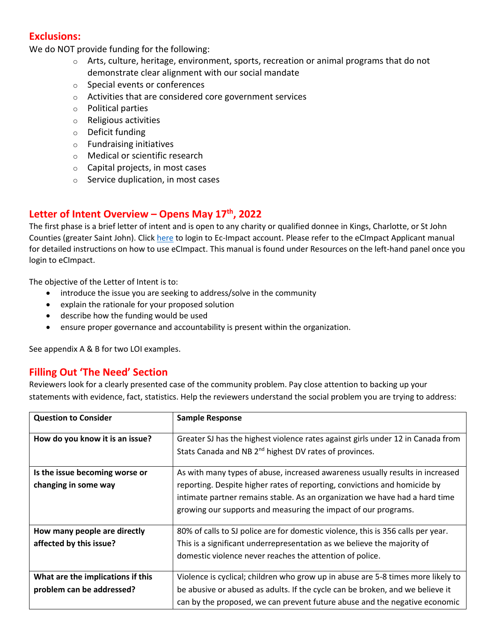## **Exclusions:**

We do NOT provide funding for the following:

- $\circ$  Arts, culture, heritage, environment, sports, recreation or animal programs that do not demonstrate clear alignment with our social mandate
- o Special events or conferences
- o Activities that are considered core government services
- o Political parties
- o Religious activities
- o Deficit funding
- o Fundraising initiatives
- o Medical or scientific research
- o Capital projects, in most cases
- o Service duplication, in most cases

## **Letter of Intent Overview – Opens May 17th , 2022**

The first phase is a brief letter of intent and is open to any charity or qualified donnee in Kings, Charlotte, or St John Counties (greater Saint John). Clic[k here](https://agency.e-cimpact.com/login.aspx?org=147855) to login to Ec-Impact account. Please refer to the eCImpact Applicant manual for detailed instructions on how to use eCImpact. This manual is found under Resources on the left-hand panel once you login to eCImpact.

The objective of the Letter of Intent is to:

- introduce the issue you are seeking to address/solve in the community
- explain the rationale for your proposed solution
- describe how the funding would be used
- ensure proper governance and accountability is present within the organization.

See appendix A & B for two LOI examples.

### **Filling Out 'The Need' Section**

Reviewers look for a clearly presented case of the community problem. Pay close attention to backing up your statements with evidence, fact, statistics. Help the reviewers understand the social problem you are trying to address:

| <b>Question to Consider</b>                                    | <b>Sample Response</b>                                                                                                                                                                                                                                                                                      |
|----------------------------------------------------------------|-------------------------------------------------------------------------------------------------------------------------------------------------------------------------------------------------------------------------------------------------------------------------------------------------------------|
| How do you know it is an issue?                                | Greater SJ has the highest violence rates against girls under 12 in Canada from<br>Stats Canada and NB 2 <sup>nd</sup> highest DV rates of provinces.                                                                                                                                                       |
| Is the issue becoming worse or<br>changing in some way         | As with many types of abuse, increased awareness usually results in increased<br>reporting. Despite higher rates of reporting, convictions and homicide by<br>intimate partner remains stable. As an organization we have had a hard time<br>growing our supports and measuring the impact of our programs. |
| How many people are directly<br>affected by this issue?        | 80% of calls to SJ police are for domestic violence, this is 356 calls per year.<br>This is a significant underrepresentation as we believe the majority of<br>domestic violence never reaches the attention of police.                                                                                     |
| What are the implications if this<br>problem can be addressed? | Violence is cyclical; children who grow up in abuse are 5-8 times more likely to<br>be abusive or abused as adults. If the cycle can be broken, and we believe it<br>can by the proposed, we can prevent future abuse and the negative economic                                                             |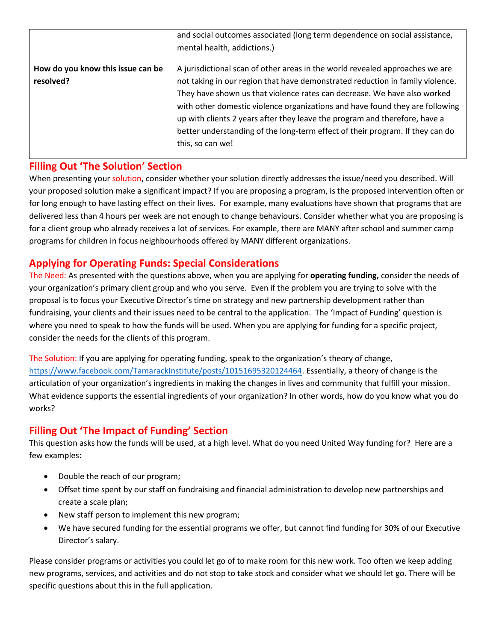|                                   | and social outcomes associated (long term dependence on social assistance,<br>mental health, addictions.) |
|-----------------------------------|-----------------------------------------------------------------------------------------------------------|
| How do you know this issue can be | A jurisdictional scan of other areas in the world revealed approaches we are                              |
| resolved?                         | not taking in our region that have demonstrated reduction in family violence.                             |
|                                   | They have shown us that violence rates can decrease. We have also worked                                  |
|                                   | with other domestic violence organizations and have found they are following                              |
|                                   | up with clients 2 years after they leave the program and therefore, have a                                |
|                                   | better understanding of the long-term effect of their program. If they can do                             |
|                                   | this, so can we!                                                                                          |
|                                   |                                                                                                           |

## **Filling Out 'The Solution' Section**

When presenting your solution, consider whether your solution directly addresses the issue/need you described. Will your proposed solution make a significant impact? If you are proposing a program, is the proposed intervention often or for long enough to have lasting effect on their lives. For example, many evaluations have shown that programs that are delivered less than 4 hours per week are not enough to change behaviours. Consider whether what you are proposing is for a client group who already receives a lot of services. For example, there are MANY after school and summer camp programs for children in focus neighbourhoods offered by MANY different organizations.

## **Applying for Operating Funds: Special Considerations**

The Need: As presented with the questions above, when you are applying for **operating funding,** consider the needs of your organization's primary client group and who you serve. Even if the problem you are trying to solve with the proposal is to focus your Executive Director's time on strategy and new partnership development rather than fundraising, your clients and their issues need to be central to the application. The 'Impact of Funding' question is where you need to speak to how the funds will be used. When you are applying for funding for a specific project, consider the needs for the clients of this program.

The Solution: If you are applying for operating funding, speak to the organization's theory of change, [https://www.facebook.com/TamarackInstitute/posts/10151695320124464.](https://www.facebook.com/TamarackInstitute/posts/10151695320124464) Essentially, a theory of change is the articulation of your organization's ingredients in making the changes in lives and community that fulfill your mission. What evidence supports the essential ingredients of your organization? In other words, how do you know what you do works?

## **Filling Out 'The Impact of Funding' Section**

This question asks how the funds will be used, at a high level. What do you need United Way funding for? Here are a few examples:

- Double the reach of our program;
- Offset time spent by our staff on fundraising and financial administration to develop new partnerships and create a scale plan;
- New staff person to implement this new program;
- We have secured funding for the essential programs we offer, but cannot find funding for 30% of our Executive Director's salary.

Please consider programs or activities you could let go of to make room for this new work. Too often we keep adding new programs, services, and activities and do not stop to take stock and consider what we should let go. There will be specific questions about this in the full application.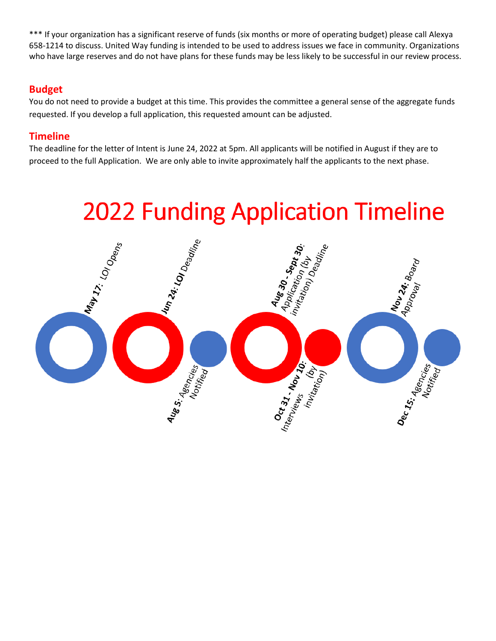\*\*\* If your organization has a significant reserve of funds (six months or more of operating budget) please call Alexya 658-1214 to discuss. United Way funding is intended to be used to address issues we face in community. Organizations who have large reserves and do not have plans for these funds may be less likely to be successful in our review process.

## **Budget**

You do not need to provide a budget at this time. This provides the committee a general sense of the aggregate funds requested. If you develop a full application, this requested amount can be adjusted.

## **Timeline**

The deadline for the letter of Intent is June 24, 2022 at 5pm. All applicants will be notified in August if they are to proceed to the full Application. We are only able to invite approximately half the applicants to the next phase.

# **2022 Funding Application Timeline**

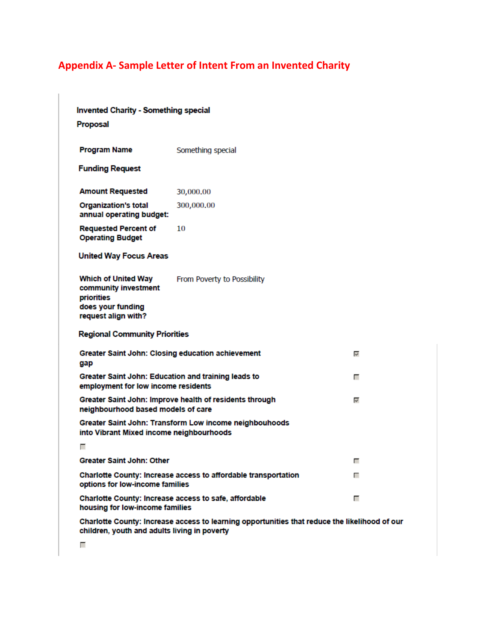# **Appendix A- Sample Letter of Intent From an Invented Charity**

| <b>Invented Charity - Something special</b>                                                                                                   |                                                        |    |  |  |
|-----------------------------------------------------------------------------------------------------------------------------------------------|--------------------------------------------------------|----|--|--|
| <b>Proposal</b>                                                                                                                               |                                                        |    |  |  |
|                                                                                                                                               |                                                        |    |  |  |
| <b>Program Name</b>                                                                                                                           | Something special                                      |    |  |  |
| <b>Funding Request</b>                                                                                                                        |                                                        |    |  |  |
| <b>Amount Requested</b>                                                                                                                       | 30,000,00                                              |    |  |  |
| <b>Organization's total</b><br>annual operating budget:                                                                                       | 300,000.00                                             |    |  |  |
| <b>Requested Percent of</b><br><b>Operating Budget</b>                                                                                        | 10                                                     |    |  |  |
| <b>United Way Focus Areas</b>                                                                                                                 |                                                        |    |  |  |
| <b>Which of United Way</b><br>community investment<br>priorities<br>does your funding<br>request align with?                                  | From Poverty to Possibility                            |    |  |  |
| <b>Regional Community Priorities</b>                                                                                                          |                                                        |    |  |  |
| Greater Saint John: Closing education achievement<br>gap                                                                                      |                                                        | ł, |  |  |
| Greater Saint John: Education and training leads to<br>employment for low income residents                                                    |                                                        | г  |  |  |
| Greater Saint John: Improve health of residents through<br>$\mathbf{v}^{\text{I}}$<br>neighbourhood based models of care                      |                                                        |    |  |  |
| into Vibrant Mixed income neighbourhoods                                                                                                      | Greater Saint John: Transform Low income neighbouhoods |    |  |  |
| г                                                                                                                                             |                                                        |    |  |  |
| <b>Greater Saint John: Other</b>                                                                                                              |                                                        | г  |  |  |
| Charlotte County: Increase access to affordable transportation<br>г<br>options for low-income families                                        |                                                        |    |  |  |
| Charlotte County: Increase access to safe, affordable<br>г<br>housing for low-income families                                                 |                                                        |    |  |  |
| Charlotte County: Increase access to learning opportunities that reduce the likelihood of our<br>children, youth and adults living in poverty |                                                        |    |  |  |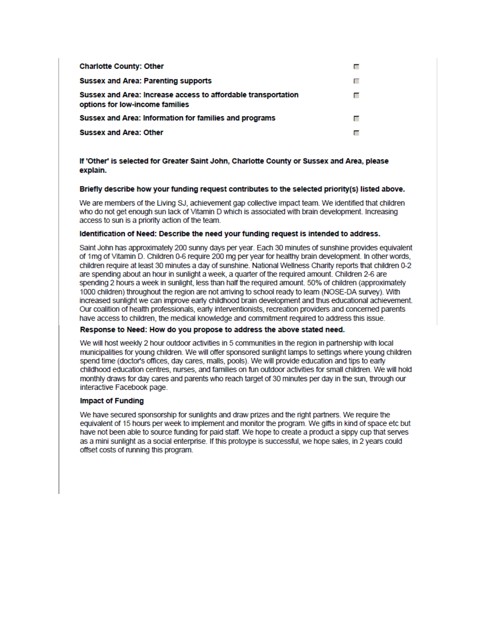| <b>Charlotte County: Other</b>                                                                   |  |
|--------------------------------------------------------------------------------------------------|--|
| <b>Sussex and Area: Parenting supports</b>                                                       |  |
| Sussex and Area: Increase access to affordable transportation<br>options for low-income families |  |
| Sussex and Area: Information for families and programs                                           |  |
| <b>Sussex and Area: Other</b>                                                                    |  |

If 'Other' is selected for Greater Saint John, Charlotte County or Sussex and Area, please explain.

### Briefly describe how your funding request contributes to the selected priority(s) listed above.

We are members of the Living SJ, achievement gap collective impact team. We identified that children who do not get enough sun lack of Vitamin D which is associated with brain development. Increasing access to sun is a priority action of the team.

### Identification of Need: Describe the need your funding request is intended to address.

Saint John has approximately 200 sunny days per year. Each 30 minutes of sunshine provides equivalent of 1mg of Vitamin D. Children 0-6 require 200 mg per year for healthy brain development. In other words, children require at least 30 minutes a day of sunshine. National Wellness Charity reports that children 0-2 are spending about an hour in sunlight a week, a quarter of the required amount. Children 2-6 are spending 2 hours a week in sunlight, less than half the required amount. 50% of children (approximately 1000 children) throughout the region are not arriving to school ready to learn (NOSE-DA survey). With increased sunlight we can improve early childhood brain development and thus educational achievement. Our coalition of health professionals, early interventionists, recreation providers and concerned parents have access to children, the medical knowledge and commitment required to address this issue.

### Response to Need: How do you propose to address the above stated need.

We will host weekly 2 hour outdoor activities in 5 communities in the region in partnership with local municipalities for young children. We will offer sponsored sunlight lamps to settings where young children spend time (doctor's offices, day cares, malls, pools). We will provide education and tips to early childhood education centres, nurses, and families on fun outdoor activities for small children. We will hold monthly draws for day cares and parents who reach target of 30 minutes per day in the sun, through our interactive Facebook page.

### **Impact of Funding**

We have secured sponsorship for sunlights and draw prizes and the right partners. We require the equivalent of 15 hours per week to implement and monitor the program. We gifts in kind of space etc but have not been able to source funding for paid staff. We hope to create a product a sippy cup that serves as a mini sunlight as a social enterprise. If this protoype is successful, we hope sales, in 2 years could offset costs of running this program.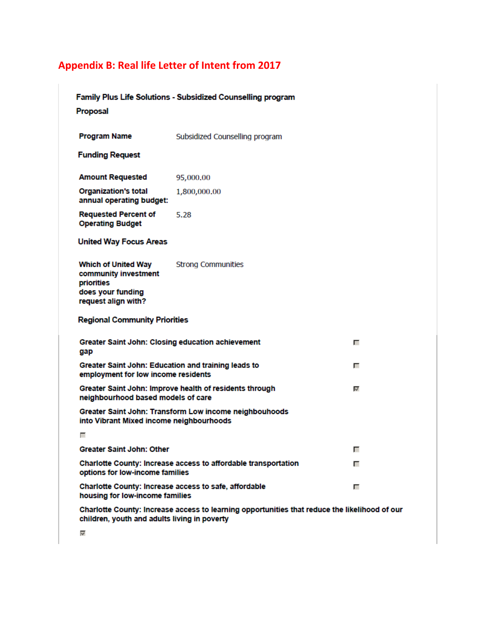# **Appendix B: Real life Letter of Intent from 2017**

|                                                                                                                                               | Family Plus Life Solutions - Subsidized Counselling program |   |  |  |
|-----------------------------------------------------------------------------------------------------------------------------------------------|-------------------------------------------------------------|---|--|--|
| Proposal                                                                                                                                      |                                                             |   |  |  |
| <b>Program Name</b>                                                                                                                           | Subsidized Counselling program                              |   |  |  |
| <b>Funding Request</b>                                                                                                                        |                                                             |   |  |  |
| <b>Amount Requested</b>                                                                                                                       | 95,000,00                                                   |   |  |  |
| <b>Organization's total</b><br>annual operating budget:                                                                                       | 1,800,000.00                                                |   |  |  |
| <b>Requested Percent of</b><br><b>Operating Budget</b>                                                                                        | 5.28                                                        |   |  |  |
| <b>United Way Focus Areas</b>                                                                                                                 |                                                             |   |  |  |
| <b>Which of United Way</b><br>community investment<br>priorities<br>does your funding<br>request align with?                                  | <b>Strong Communities</b>                                   |   |  |  |
| <b>Regional Community Priorities</b>                                                                                                          |                                                             |   |  |  |
| Greater Saint John: Closing education achievement<br>gap                                                                                      |                                                             | г |  |  |
| Greater Saint John: Education and training leads to<br>employment for low income residents                                                    |                                                             | г |  |  |
| Greater Saint John: Improve health of residents through<br>neighbourhood based models of care                                                 |                                                             | V |  |  |
| into Vibrant Mixed income neighbourhoods                                                                                                      | Greater Saint John: Transform Low income neighbouhoods      |   |  |  |
| г                                                                                                                                             |                                                             |   |  |  |
| <b>Greater Saint John: Other</b>                                                                                                              |                                                             | г |  |  |
| Charlotte County: Increase access to affordable transportation<br>options for low-income families                                             |                                                             | г |  |  |
| Charlotte County: Increase access to safe, affordable<br>housing for low-income families                                                      |                                                             | г |  |  |
| Charlotte County: Increase access to learning opportunities that reduce the likelihood of our<br>children, youth and adults living in poverty |                                                             |   |  |  |
| ₩                                                                                                                                             |                                                             |   |  |  |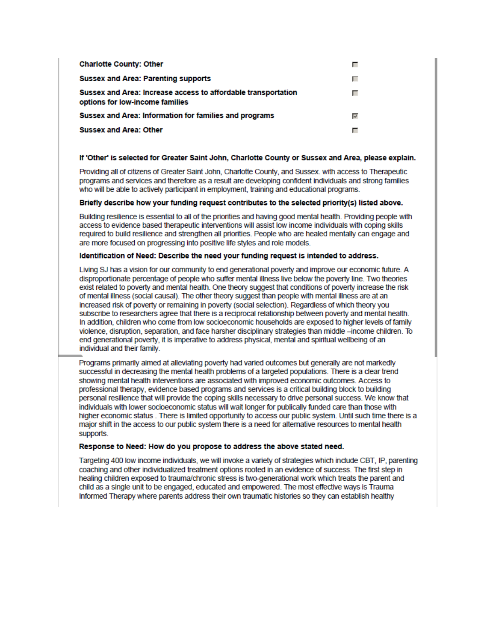| <b>Charlotte County: Other</b>                                                                   |   |
|--------------------------------------------------------------------------------------------------|---|
| <b>Sussex and Area: Parenting supports</b>                                                       | г |
| Sussex and Area: Increase access to affordable transportation<br>options for low-income families |   |
| Sussex and Area: Information for families and programs                                           | U |
| <b>Sussex and Area: Other</b>                                                                    |   |

### If 'Other' is selected for Greater Saint John, Charlotte County or Sussex and Area, please explain.

Providing all of citizens of Greater Saint John, Charlotte County, and Sussex. with access to Therapeutic programs and services and therefore as a result are developing confident individuals and strong families who will be able to actively participant in employment, training and educational programs.

### Briefly describe how your funding request contributes to the selected priority(s) listed above.

Building resilience is essential to all of the priorities and having good mental health. Providing people with access to evidence based therapeutic interventions will assist low income individuals with coping skills required to build resilience and strengthen all priorities. People who are healed mentally can engage and are more focused on progressing into positive life styles and role models.

### Identification of Need: Describe the need your funding request is intended to address.

Living SJ has a vision for our community to end generational poverty and improve our economic future. A disproportionate percentage of people who suffer mental illness live below the poverty line. Two theories exist related to poverty and mental health. One theory suggest that conditions of poverty increase the risk of mental illness (social causal). The other theory suggest than people with mental illness are at an increased risk of poverty or remaining in poverty (social selection). Regardless of which theory you subscribe to researchers agree that there is a reciprocal relationship between poverty and mental health. In addition, children who come from low socioeconomic households are exposed to higher levels of family violence, disruption, separation, and face harsher disciplinary strategies than middle -income children. To end generational poverty, it is imperative to address physical, mental and spiritual wellbeing of an individual and their family.

Programs primarily aimed at alleviating poverty had varied outcomes but generally are not markedly successful in decreasing the mental health problems of a targeted populations. There is a clear trend showing mental health interventions are associated with improved economic outcomes. Access to professional therapy, evidence based programs and services is a critical building block to building personal resilience that will provide the coping skills necessary to drive personal success. We know that individuals with lower socioeconomic status will wait longer for publically funded care than those with higher economic status. There is limited opportunity to access our public system. Until such time there is a major shift in the access to our public system there is a need for alternative resources to mental health supports.

#### Response to Need: How do you propose to address the above stated need.

Targeting 400 low income individuals, we will invoke a variety of strategies which include CBT, IP, parenting coaching and other individualized treatment options rooted in an evidence of success. The first step in healing children exposed to trauma/chronic stress is two-generational work which treats the parent and child as a single unit to be engaged, educated and empowered. The most effective ways is Trauma Informed Therapy where parents address their own traumatic histories so they can establish healthy